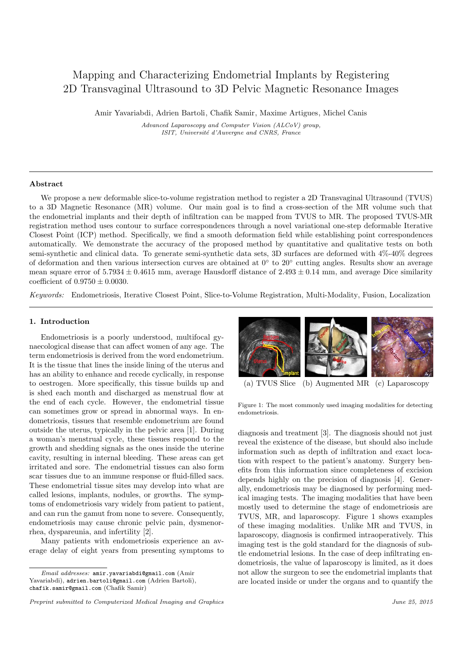# Mapping and Characterizing Endometrial Implants by Registering 2D Transvaginal Ultrasound to 3D Pelvic Magnetic Resonance Images

Amir Yavariabdi, Adrien Bartoli, Chafik Samir, Maxime Artigues, Michel Canis

Advanced Laparoscopy and Computer Vision (ALCoV) group, ISIT, Université d'Auvergne and CNRS, France

#### Abstract

We propose a new deformable slice-to-volume registration method to register a 2D Transvaginal Ultrasound (TVUS) to a 3D Magnetic Resonance (MR) volume. Our main goal is to find a cross-section of the MR volume such that the endometrial implants and their depth of infiltration can be mapped from TVUS to MR. The proposed TVUS-MR registration method uses contour to surface correspondences through a novel variational one-step deformable Iterative Closest Point (ICP) method. Specifically, we find a smooth deformation field while establishing point correspondences automatically. We demonstrate the accuracy of the proposed method by quantitative and qualitative tests on both semi-synthetic and clinical data. To generate semi-synthetic data sets, 3D surfaces are deformed with 4%-40% degrees of deformation and then various intersection curves are obtained at  $0<sup>°</sup>$  to  $20<sup>°</sup>$  cutting angles. Results show an average mean square error of  $5.7934 \pm 0.4615$  mm, average Hausdorff distance of  $2.493 \pm 0.14$  mm, and average Dice similarity coefficient of  $0.9750 \pm 0.0030$ .

Keywords: Endometriosis, Iterative Closest Point, Slice-to-Volume Registration, Multi-Modality, Fusion, Localization

## 1. Introduction

Endometriosis is a poorly understood, multifocal gynaecological disease that can affect women of any age. The term endometriosis is derived from the word endometrium. It is the tissue that lines the inside lining of the uterus and has an ability to enhance and recede cyclically, in response to oestrogen. More specifically, this tissue builds up and is shed each month and discharged as menstrual flow at the end of each cycle. However, the endometrial tissue can sometimes grow or spread in abnormal ways. In endometriosis, tissues that resemble endometrium are found outside the uterus, typically in the pelvic area [1]. During a woman's menstrual cycle, these tissues respond to the growth and shedding signals as the ones inside the uterine cavity, resulting in internal bleeding. These areas can get irritated and sore. The endometrial tissues can also form scar tissues due to an immune response or fluid-filled sacs. These endometrial tissue sites may develop into what are called lesions, implants, nodules, or growths. The symptoms of endometriosis vary widely from patient to patient, and can run the gamut from none to severe. Consequently, endometriosis may cause chronic pelvic pain, dysmenorrhea, dyspareunia, and infertility [2].

Many patients with endometriosis experience an average delay of eight years from presenting symptoms to

(a) TVUS Slice (b) Augmented MR (c) Laparoscopy

Figure 1: The most commonly used imaging modalities for detecting endometriosis.

diagnosis and treatment [3]. The diagnosis should not just reveal the existence of the disease, but should also include information such as depth of infiltration and exact location with respect to the patient's anatomy. Surgery benefits from this information since completeness of excision depends highly on the precision of diagnosis [4]. Generally, endometriosis may be diagnosed by performing medical imaging tests. The imaging modalities that have been mostly used to determine the stage of endometriosis are TVUS, MR, and laparoscopy. Figure 1 shows examples of these imaging modalities. Unlike MR and TVUS, in laparoscopy, diagnosis is confirmed intraoperatively. This imaging test is the gold standard for the diagnosis of subtle endometrial lesions. In the case of deep infiltrating endometriosis, the value of laparoscopy is limited, as it does not allow the surgeon to see the endometrial implants that are located inside or under the organs and to quantify the

Email addresses: amir.yavariabdi@gmail.com (Amir Yavariabdi), adrien.bartoli@gmail.com (Adrien Bartoli), chafik.samir@gmail.com (Chafik Samir)

Preprint submitted to Computerized Medical Imaging and Graphics  $J$  June 25, 2015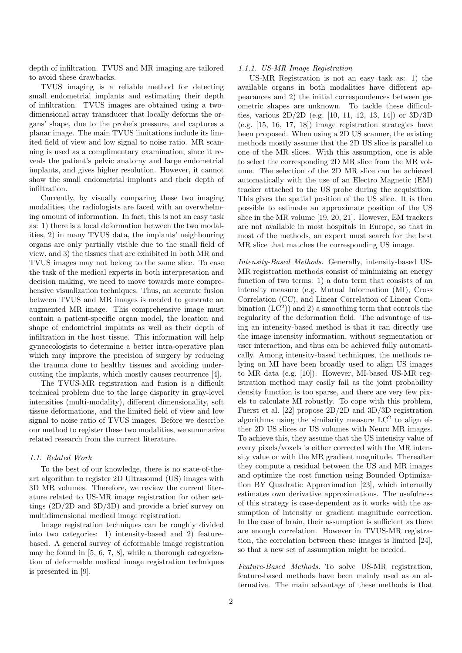depth of infiltration. TVUS and MR imaging are tailored to avoid these drawbacks.

TVUS imaging is a reliable method for detecting small endometrial implants and estimating their depth of infiltration. TVUS images are obtained using a twodimensional array transducer that locally deforms the organs' shape, due to the probe's pressure, and captures a planar image. The main TVUS limitations include its limited field of view and low signal to noise ratio. MR scanning is used as a complimentary examination, since it reveals the patient's pelvic anatomy and large endometrial implants, and gives higher resolution. However, it cannot show the small endometrial implants and their depth of infiltration.

Currently, by visually comparing these two imaging modalities, the radiologists are faced with an overwhelming amount of information. In fact, this is not an easy task as: 1) there is a local deformation between the two modalities, 2) in many TVUS data, the implants' neighbouring organs are only partially visible due to the small field of view, and 3) the tissues that are exhibited in both MR and TVUS images may not belong to the same slice. To ease the task of the medical experts in both interpretation and decision making, we need to move towards more comprehensive visualization techniques. Thus, an accurate fusion between TVUS and MR images is needed to generate an augmented MR image. This comprehensive image must contain a patient-specific organ model, the location and shape of endometrial implants as well as their depth of infiltration in the host tissue. This information will help gynaecologists to determine a better intra-operative plan which may improve the precision of surgery by reducing the trauma done to healthy tissues and avoiding undercutting the implants, which mostly causes recurrence [4].

The TVUS-MR registration and fusion is a difficult technical problem due to the large disparity in gray-level intensities (multi-modality), different dimensionality, soft tissue deformations, and the limited field of view and low signal to noise ratio of TVUS images. Before we describe our method to register these two modalities, we summarize related research from the current literature.

## 1.1. Related Work

To the best of our knowledge, there is no state-of-theart algorithm to register 2D Ultrasound (US) images with 3D MR volumes. Therefore, we review the current literature related to US-MR image registration for other settings (2D/2D and 3D/3D) and provide a brief survey on multidimensional medical image registration.

Image registration techniques can be roughly divided into two categories: 1) intensity-based and 2) featurebased. A general survey of deformable image registration may be found in [5, 6, 7, 8], while a thorough categorization of deformable medical image registration techniques is presented in [9].

#### 1.1.1. US-MR Image Registration

US-MR Registration is not an easy task as: 1) the available organs in both modalities have different appearances and 2) the initial correspondences between geometric shapes are unknown. To tackle these difficulties, various 2D/2D (e.g. [10, 11, 12, 13, 14]) or 3D/3D (e.g. [15, 16, 17, 18]) image registration strategies have been proposed. When using a 2D US scanner, the existing methods mostly assume that the 2D US slice is parallel to one of the MR slices. With this assumption, one is able to select the corresponding 2D MR slice from the MR volume. The selection of the 2D MR slice can be achieved automatically with the use of an Electro Magnetic (EM) tracker attached to the US probe during the acquisition. This gives the spatial position of the US slice. It is then possible to estimate an approximate position of the US slice in the MR volume [19, 20, 21]. However, EM trackers are not available in most hospitals in Europe, so that in most of the methods, an expert must search for the best MR slice that matches the corresponding US image.

Intensity-Based Methods. Generally, intensity-based US-MR registration methods consist of minimizing an energy function of two terms: 1) a data term that consists of an intensity measure (e.g. Mutual Information (MI), Cross Correlation (CC), and Linear Correlation of Linear Combination  $(LC<sup>2</sup>)$  and 2) a smoothing term that controls the regularity of the deformation field. The advantage of using an intensity-based method is that it can directly use the image intensity information, without segmentation or user interaction, and thus can be achieved fully automatically. Among intensity-based techniques, the methods relying on MI have been broadly used to align US images to MR data (e.g. [10]). However, MI-based US-MR registration method may easily fail as the joint probability density function is too sparse, and there are very few pixels to calculate MI robustly. To cope with this problem, Fuerst et al. [22] propose 2D/2D and 3D/3D registration algorithms using the similarity measure  $LC^2$  to align either 2D US slices or US volumes with Neuro MR images. To achieve this, they assume that the US intensity value of every pixels/voxels is either corrected with the MR intensity value or with the MR gradient magnitude. Thereafter they compute a residual between the US and MR images and optimize the cost function using Bounded Optimization BY Quadratic Approximation [23], which internally estimates own derivative approximations. The usefulness of this strategy is case-dependent as it works with the assumption of intensity or gradient magnitude correction. In the case of brain, their assumption is sufficient as there are enough correlation. However in TVUS-MR registration, the correlation between these images is limited [24], so that a new set of assumption might be needed.

Feature-Based Methods. To solve US-MR registration, feature-based methods have been mainly used as an alternative. The main advantage of these methods is that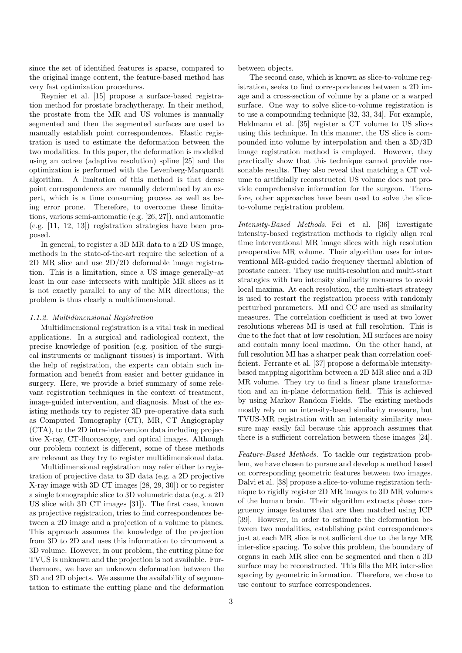since the set of identified features is sparse, compared to the original image content, the feature-based method has very fast optimization procedures.

Reynier et al. [15] propose a surface-based registration method for prostate brachytherapy. In their method, the prostate from the MR and US volumes is manually segmented and then the segmented surfaces are used to manually establish point correspondences. Elastic registration is used to estimate the deformation between the two modalities. In this paper, the deformation is modelled using an octree (adaptive resolution) spline [25] and the optimization is performed with the Levenberg-Marquardt algorithm. A limitation of this method is that dense point correspondences are manually determined by an expert, which is a time consuming process as well as being error prone. Therefore, to overcome these limitations, various semi-automatic (e.g. [26, 27]), and automatic (e.g. [11, 12, 13]) registration strategies have been proposed.

In general, to register a 3D MR data to a 2D US image, methods in the state-of-the-art require the selection of a 2D MR slice and use 2D/2D deformable image registration. This is a limitation, since a US image generally–at least in our case–intersects with multiple MR slices as it is not exactly parallel to any of the MR directions; the problem is thus clearly a multidimensional.

### 1.1.2. Multidimensional Registration

Multidimensional registration is a vital task in medical applications. In a surgical and radiological context, the precise knowledge of position (e.g. position of the surgical instruments or malignant tissues) is important. With the help of registration, the experts can obtain such information and benefit from easier and better guidance in surgery. Here, we provide a brief summary of some relevant registration techniques in the context of treatment, image-guided intervention, and diagnosis. Most of the existing methods try to register 3D pre-operative data such as Computed Tomography (CT), MR, CT Angiography (CTA), to the 2D intra-intervention data including projective X-ray, CT-fluoroscopy, and optical images. Although our problem context is different, some of these methods are relevant as they try to register multidimensional data.

Multidimensional registration may refer either to registration of projective data to 3D data (e.g. a 2D projective X-ray image with 3D CT images [28, 29, 30]) or to register a single tomographic slice to 3D volumetric data (e.g. a 2D US slice with 3D CT images [31]). The first case, known as projective registration, tries to find correspondences between a 2D image and a projection of a volume to planes. This approach assumes the knowledge of the projection from 3D to 2D and uses this information to circumvent a 3D volume. However, in our problem, the cutting plane for TVUS is unknown and the projection is not available. Furthermore, we have an unknown deformation between the 3D and 2D objects. We assume the availability of segmentation to estimate the cutting plane and the deformation between objects.

The second case, which is known as slice-to-volume registration, seeks to find correspondences between a 2D image and a cross-section of volume by a plane or a warped surface. One way to solve slice-to-volume registration is to use a compounding technique [32, 33, 34]. For example, Heldmann et al. [35] register a CT volume to US slices using this technique. In this manner, the US slice is compounded into volume by interpolation and then a 3D/3D image registration method is employed. However, they practically show that this technique cannot provide reasonable results. They also reveal that matching a CT volume to artificially reconstructed US volume does not provide comprehensive information for the surgeon. Therefore, other approaches have been used to solve the sliceto-volume registration problem.

Intensity-Based Methods. Fei et al. [36] investigate intensity-based registration methods to rigidly align real time interventional MR image slices with high resolution preoperative MR volume. Their algorithm uses for interventional MR-guided radio frequency thermal ablation of prostate cancer. They use multi-resolution and multi-start strategies with two intensity similarity measures to avoid local maxima. At each resolution, the multi-start strategy is used to restart the registration process with randomly perturbed parameters. MI and CC are used as similarity measures. The correlation coefficient is used at two lower resolutions whereas MI is used at full resolution. This is due to the fact that at low resolution, MI surfaces are noisy and contain many local maxima. On the other hand, at full resolution MI has a sharper peak than correlation coefficient. Ferrante et al. [37] propose a deformable intensitybased mapping algorithm between a 2D MR slice and a 3D MR volume. They try to find a linear plane transformation and an in-plane deformation field. This is achieved by using Markov Random Fields. The existing methods mostly rely on an intensity-based similarity measure, but TVUS-MR registration with an intensity similarity measure may easily fail because this approach assumes that there is a sufficient correlation between these images [24].

Feature-Based Methods. To tackle our registration problem, we have chosen to pursue and develop a method based on corresponding geometric features between two images. Dalvi et al. [38] propose a slice-to-volume registration technique to rigidly register 2D MR images to 3D MR volumes of the human brain. Their algorithm extracts phase congruency image features that are then matched using ICP [39]. However, in order to estimate the deformation between two modalities, establishing point correspondences just at each MR slice is not sufficient due to the large MR inter-slice spacing. To solve this problem, the boundary of organs in each MR slice can be segmented and then a 3D surface may be reconstructed. This fills the MR inter-slice spacing by geometric information. Therefore, we chose to use contour to surface correspondences.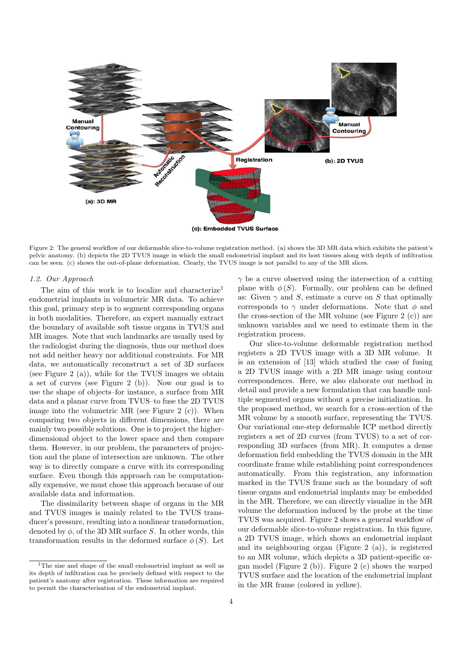

Figure 2: The general workflow of our deformable slice-to-volume registration method. (a) shows the 3D MR data which exhibits the patient's pelvic anatomy. (b) depicts the 2D TVUS image in which the small endometrial implant and its host tissues along with depth of infiltration can be seen. (c) shows the out-of-plane deformation. Clearly, the TVUS image is not parallel to any of the MR slices.

#### 1.2. Our Approach

The aim of this work is to localize and characterize<sup>1</sup> endometrial implants in volumetric MR data. To achieve this goal, primary step is to segment corresponding organs in both modalities. Therefore, an expert manually extract the boundary of available soft tissue organs in TVUS and MR images. Note that such landmarks are usually used by the radiologist during the diagnosis, thus our method does not add neither heavy nor additional constraints. For MR data, we automatically reconstruct a set of 3D surfaces (see Figure 2 (a)), while for the TVUS images we obtain a set of curves (see Figure 2 (b)). Now our goal is to use the shape of objects–for instance, a surface from MR data and a planar curve from TVUS–to fuse the 2D TVUS image into the volumetric MR (see Figure 2 (c)). When comparing two objects in different dimensions, there are mainly two possible solutions. One is to project the higherdimensional object to the lower space and then compare them. However, in our problem, the parameters of projection and the plane of intersection are unknown. The other way is to directly compare a curve with its corresponding surface. Even though this approach can be computationally expensive, we must chose this approach because of our available data and information.

The dissimilarity between shape of organs in the MR and TVUS images is mainly related to the TVUS transducer's pressure, resulting into a nonlinear transformation, denoted by  $\phi$ , of the 3D MR surface S. In other words, this transformation results in the deformed surface  $\phi(S)$ . Let

 $\gamma$  be a curve observed using the intersection of a cutting plane with  $\phi(S)$ . Formally, our problem can be defined as: Given  $\gamma$  and S, estimate a curve on S that optimally corresponds to  $\gamma$  under deformations. Note that  $\phi$  and the cross-section of the MR volume (see Figure 2 (c)) are unknown variables and we need to estimate them in the registration process.

Our slice-to-volume deformable registration method registers a 2D TVUS image with a 3D MR volume. It is an extension of [13] which studied the case of fusing a 2D TVUS image with a 2D MR image using contour correspondences. Here, we also elaborate our method in detail and provide a new formulation that can handle multiple segmented organs without a precise initialization. In the proposed method, we search for a cross-section of the MR volume by a smooth surface, representing the TVUS. Our variational one-step deformable ICP method directly registers a set of 2D curves (from TVUS) to a set of corresponding 3D surfaces (from MR). It computes a dense deformation field embedding the TVUS domain in the MR coordinate frame while establishing point correspondences automatically. From this registration, any information marked in the TVUS frame such as the boundary of soft tissue organs and endometrial implants may be embedded in the MR. Therefore, we can directly visualize in the MR volume the deformation induced by the probe at the time TVUS was acquired. Figure 2 shows a general workflow of our deformable slice-to-volume registration. In this figure, a 2D TVUS image, which shows an endometrial implant and its neighbouring organ (Figure 2 (a)), is registered to an MR volume, which depicts a 3D patient-specific organ model (Figure 2 (b)). Figure 2 (c) shows the warped TVUS surface and the location of the endometrial implant in the MR frame (colored in yellow).

<sup>&</sup>lt;sup>1</sup>The size and shape of the small endometrial implant as well as its depth of infiltration can be precisely defined with respect to the patient's anatomy after registration. These information are required to permit the characterisation of the endometrial implant.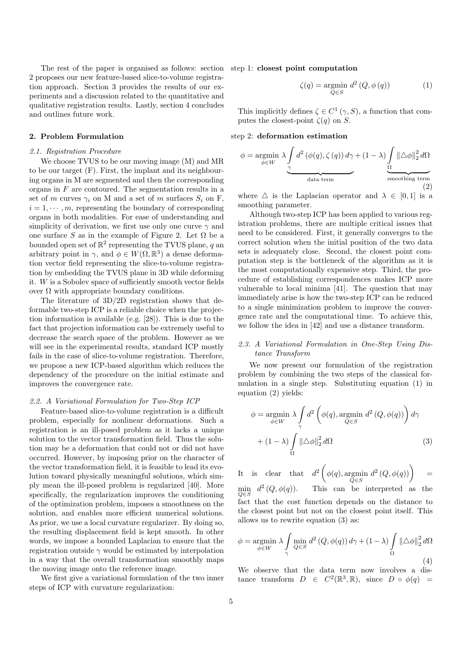The rest of the paper is organised as follows: section step 1: closest point computation 2 proposes our new feature-based slice-to-volume registration approach. Section 3 provides the results of our experiments and a discussion related to the quantitative and qualitative registration results. Lastly, section 4 concludes and outlines future work.

## 2. Problem Formulation

# 2.1. Registration Procedure

We choose TVUS to be our moving image (M) and MR to be our target (F). First, the implant and its neighbouring organs in M are segmented and then the corresponding organs in  $F$  are contoured. The segmentation results in a set of m curves  $\gamma_i$  on M and a set of m surfaces  $S_i$  on F,  $i = 1, \dots, m$ , representing the boundary of corresponding organs in both modalities. For ease of understanding and simplicity of derivation, we first use only one curve  $\gamma$  and one surface S as in the example of Figure 2. Let  $\Omega$  be a bounded open set of  $\mathbb{R}^2$  representing the TVUS plane, q and arbitrary point in  $\gamma$ , and  $\phi \in W(\Omega, \mathbb{R}^3)$  a dense deformation vector field representing the slice-to-volume registration by embedding the TVUS plane in 3D while deforming it. W is a Sobolev space of sufficiently smooth vector fields over Ω with appropriate boundary conditions.

The literature of 3D/2D registration shows that deformable two-step ICP is a reliable choice when the projection information is available (e.g. [28]). This is due to the fact that projection information can be extremely useful to decrease the search space of the problem. However as we will see in the experimental results, standard ICP mostly fails in the case of slice-to-volume registration. Therefore, we propose a new ICP-based algorithm which reduces the dependency of the procedure on the initial estimate and improves the convergence rate.

## 2.2. A Variational Formulation for Two-Step ICP

Feature-based slice-to-volume registration is a difficult problem, especially for nonlinear deformations. Such a registration is an ill-posed problem as it lacks a unique solution to the vector transformation field. Thus the solution may be a deformation that could not or did not have occurred. However, by imposing prior on the character of the vector transformation field, it is feasible to lead its evolution toward physically meaningful solutions, which simply mean the ill-posed problem is regularized [40]. More specifically, the regularization improves the conditioning of the optimization problem, imposes a smoothness on the solution, and enables more efficient numerical solutions. As prior, we use a local curvature regularizer. By doing so, the resulting displacement field is kept smooth. In other words, we impose a bounded Laplacian to ensure that the registration outside  $\gamma$  would be estimated by interpolation in a way that the overall transformation smoothly maps the moving image onto the reference image.

We first give a variational formulation of the two inner steps of ICP with curvature regularization:

$$
\zeta(q) = \underset{Q \in S}{\text{argmin}} d^2 (Q, \phi(q)) \tag{1}
$$

This implicitly defines  $\zeta \in C^1(\gamma, S)$ , a function that computes the closest-point  $\zeta(q)$  on S.

step 2: deformation estimation

$$
\phi = \underset{\phi \in W}{\operatorname{argmin}} \lambda \underbrace{\int d^2 (\phi(q), \zeta(q)) d\gamma + (1 - \lambda) \int \limits_{\Omega} ||\Delta \phi||_2^2 d\Omega}_{\text{data term}}
$$
\n
$$
\underbrace{\int d^2 (\phi(q), \zeta(q)) d\gamma}_{\text{data term}} + (1 - \lambda) \underbrace{\int d^2 (\phi(q), \zeta(q)) d\gamma}_{\text{smoothing term}}
$$
\n
$$
(2)
$$

where  $\triangle$  is the Laplacian operator and  $\lambda \in [0, 1]$  is a smoothing parameter.

Although two-step ICP has been applied to various registration problems, there are multiple critical issues that need to be considered. First, it generally converges to the correct solution when the initial position of the two data sets is adequately close. Second, the closest point computation step is the bottleneck of the algorithm as it is the most computationally expensive step. Third, the procedure of establishing correspondences makes ICP more vulnerable to local minima [41]. The question that may immediately arise is how the two-step ICP can be reduced to a single minimization problem to improve the convergence rate and the computational time. To achieve this, we follow the idea in [42] and use a distance transform.

## 2.3. A Variational Formulation in One-Step Using Distance Transform

We now present our formulation of the registration problem by combining the two steps of the classical formulation in a single step. Substituting equation (1) in equation (2) yields:

$$
\phi = \underset{\phi \in W}{\operatorname{argmin}} \lambda \int_{\gamma} d^{2} \left( \phi(q), \underset{Q \in S}{\operatorname{argmin}} d^{2} (Q, \phi(q)) \right) d\gamma
$$

$$
+ (1 - \lambda) \int_{\Omega} ||\Delta \phi||_{2}^{2} d\Omega \qquad (3)
$$

It is clear that  $d^2 \left( \phi(q), \underset{Q \in S}{\text{argmin}} d^2 \left( Q, \phi(q) \right) \right)$ = This can be interpreted as the

 $\min_{Q \in S} d^2$ fact that the cost function depends on the distance to the closest point but not on the closest point itself. This allows us to rewrite equation (3) as:

$$
\phi = \underset{\phi \in W}{\operatorname{argmin}} \lambda \int_{\gamma} \underset{\gamma}{\min} d^2 (Q, \phi(q)) d\gamma + (1 - \lambda) \int_{\Omega} ||\Delta \phi||_2^2 d\Omega
$$
\n(4)

We observe that the data term now involves a distance transform  $D \in C^2(\mathbb{R}^3, \mathbb{R})$ , since  $D \circ \phi(q) =$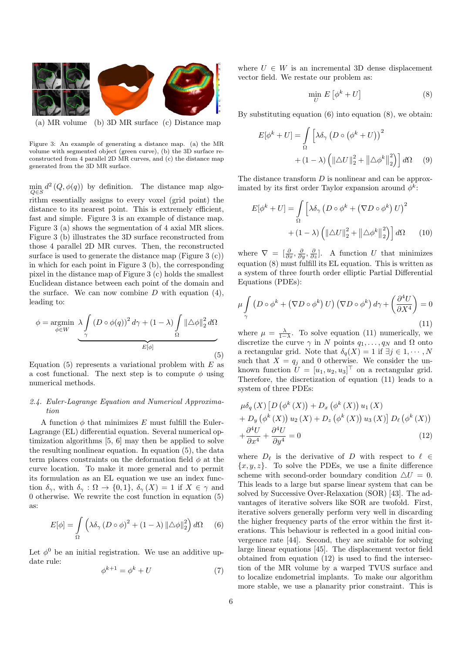

(a) MR volume (b) 3D MR surface (c) Distance map

Figure 3: An example of generating a distance map. (a) the MR volume with segmented object (green curve), (b) the 3D surface reconstructed from 4 parallel 2D MR curves, and (c) the distance map generated from the 3D MR surface.

 $\min_{Q \in S} d^2(Q, \phi(q))$  by definition. The distance map algorithm essentially assigns to every voxel (grid point) the distance to its nearest point. This is extremely efficient, fast and simple. Figure 3 is an example of distance map. Figure 3 (a) shows the segmentation of 4 axial MR slices. Figure 3 (b) illustrates the 3D surface reconstructed from those 4 parallel 2D MR curves. Then, the reconstructed surface is used to generate the distance map (Figure 3 (c)) in which for each point in Figure 3 (b), the corresponding pixel in the distance map of Figure 3 (c) holds the smallest Euclidean distance between each point of the domain and the surface. We can now combine  $D$  with equation  $(4)$ , leading to:

$$
\phi = \underset{\phi \in W}{\operatorname{argmin}} \underbrace{\lambda \int_{\gamma} (D \circ \phi(q))^2 d\gamma + (1 - \lambda) \int_{\Omega} ||\Delta \phi||_2^2 d\Omega}_{E[\phi]}
$$
\n(5)

Equation  $(5)$  represents a variational problem with E as a cost functional. The next step is to compute  $\phi$  using numerical methods.

# 2.4. Euler-Lagrange Equation and Numerical Approximation

A function  $\phi$  that minimizes E must fulfill the Euler-Lagrange (EL) differential equation. Several numerical optimization algorithms [5, 6] may then be applied to solve the resulting nonlinear equation. In equation (5), the data term places constraints on the deformation field  $\phi$  at the curve location. To make it more general and to permit its formulation as an EL equation we use an index function  $\delta_{\gamma}$ , with  $\delta_{\gamma} : \Omega \to \{0,1\}, \ \delta_{\gamma}(X) = 1$  if  $X \in \gamma$  and 0 otherwise. We rewrite the cost function in equation (5) as:

$$
E[\phi] = \int_{\Omega} \left( \lambda \delta_{\gamma} \left( D \circ \phi \right)^{2} + (1 - \lambda) \left\| \Delta \phi \right\|_{2}^{2} \right) d\Omega \quad (6)
$$

Let  $\phi^0$  be an initial registration. We use an additive update rule:

$$
\phi^{k+1} = \phi^k + U \tag{7}
$$

where  $U \in W$  is an incremental 3D dense displacement vector field. We restate our problem as:

$$
\min_{U} E\left[\phi^k + U\right] \tag{8}
$$

By substituting equation  $(6)$  into equation  $(8)$ , we obtain:

$$
E[\phi^{k} + U] = \int_{\Omega} \left[ \lambda \delta_{\gamma} \left( D \circ (\phi^{k} + U) \right)^{2} + (1 - \lambda) \left( \|\Delta U\|_{2}^{2} + \|\Delta \phi^{k}\|_{2}^{2} \right) \right] d\Omega \quad (9)
$$

The distance transform D is nonlinear and can be approximated by its first order Taylor expansion around  $\phi^k$ :

$$
E[\phi^{k} + U] = \int_{\Omega} \left[ \lambda \delta_{\gamma} \left( D \circ \phi^{k} + (\nabla D \circ \phi^{k}) U \right)^{2} + (1 - \lambda) \left( \|\Delta U\|_{2}^{2} + \|\Delta \phi^{k}\|_{2}^{2} \right) \right] d\Omega \qquad (10)
$$

where  $\nabla = \left[\frac{\partial}{\partial x}, \frac{\partial}{\partial y}, \frac{\partial}{\partial z}\right]$ . A function U that minimizes equation (8) must fulfill its EL equation. This is written as a system of three fourth order elliptic Partial Differential Equations (PDEs):

$$
\mu \int_{\gamma} \left( D \circ \phi^k + (\nabla D \circ \phi^k) U \right) (\nabla D \circ \phi^k) d\gamma + \left( \frac{\partial^4 U}{\partial X^4} \right) = 0
$$
\n(11)

where  $\mu = \frac{\lambda}{1-\lambda}$ . To solve equation (11) numerically, we discretize the curve  $\gamma$  in N points  $q_1, \ldots, q_N$  and  $\Omega$  onto a rectangular grid. Note that  $\delta_q(X) = 1$  if  $\exists j \in 1, \dots, N$ such that  $X = q_i$  and 0 otherwise. We consider the unknown function  $U = [u_1, u_2, u_3]^\top$  on a rectangular grid. Therefore, the discretization of equation (11) leads to a system of three PDEs:

$$
\mu \delta_q(X) \left[ D \left( \phi^k(X) \right) + D_x \left( \phi^k(X) \right) u_1(X) + D_y \left( \phi^k(X) \right) u_2(X) + D_z \left( \phi^k(X) \right) u_3(X) \right] D_\ell \left( \phi^k(X) \right) + \frac{\partial^4 U}{\partial x^4} + \frac{\partial^4 U}{\partial y^4} = 0
$$
\n(12)

where  $D_{\ell}$  is the derivative of D with respect to  $\ell \in$  ${x, y, z}$ . To solve the PDEs, we use a finite difference scheme with second-order boundary condition  $\Delta U = 0$ . This leads to a large but sparse linear system that can be solved by Successive Over-Relaxation (SOR) [43]. The advantages of iterative solvers like SOR are twofold. First, iterative solvers generally perform very well in discarding the higher frequency parts of the error within the first iterations. This behaviour is reflected in a good initial convergence rate [44]. Second, they are suitable for solving large linear equations [45]. The displacement vector field obtained from equation (12) is used to find the intersection of the MR volume by a warped TVUS surface and to localize endometrial implants. To make our algorithm more stable, we use a planarity prior constraint. This is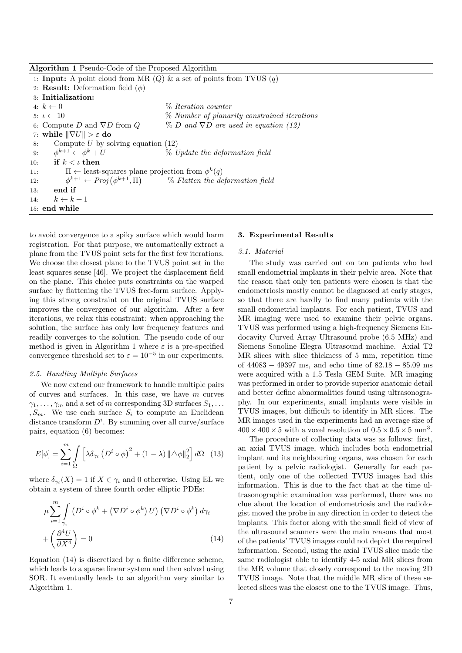|  |  | Algorithm 1 Pseudo-Code of the Proposed Algorithm |  |  |  |  |  |  |
|--|--|---------------------------------------------------|--|--|--|--|--|--|
|--|--|---------------------------------------------------|--|--|--|--|--|--|

|     | 1. <b>Input:</b> A point cloud from MR $(Q)$ & a set of points from TVUS $(q)$ |                                                                               |
|-----|--------------------------------------------------------------------------------|-------------------------------------------------------------------------------|
|     | 2: Result: Deformation field $(\phi)$                                          |                                                                               |
|     | 3: Initialization:                                                             |                                                                               |
|     | 4: $k \leftarrow 0$                                                            | % Iteration counter                                                           |
|     | 5: $\iota \leftarrow 10$                                                       | % Number of planarity constrained iterations                                  |
|     | 6: Compute D and $\nabla D$ from Q                                             | $\%$ D and $\nabla D$ are used in equation (12)                               |
|     | 7: while $\ \nabla U\  > \varepsilon$ do                                       |                                                                               |
| 8.  | Compute $U$ by solving equation (12)                                           |                                                                               |
| 9.  | $\phi^{k+1} \leftarrow \phi^k + U$                                             | % Update the deformation field                                                |
| 10: | $\quad \text{if } k < \iota \text{ then}$                                      |                                                                               |
| 11: | $\Pi \leftarrow$ least-squares plane projection from $\phi^k(q)$               |                                                                               |
| 12: |                                                                                | $\phi^{k+1} \leftarrow Proj(\phi^{k+1}, \Pi)$ % Flatten the deformation field |
| 13. | end if                                                                         |                                                                               |
|     | 14: $k \leftarrow k+1$                                                         |                                                                               |
|     | $15:$ end while                                                                |                                                                               |

to avoid convergence to a spiky surface which would harm registration. For that purpose, we automatically extract a plane from the TVUS point sets for the first few iterations. We choose the closest plane to the TVUS point set in the least squares sense [46]. We project the displacement field on the plane. This choice puts constraints on the warped surface by flattening the TVUS free-form surface. Applying this strong constraint on the original TVUS surface improves the convergence of our algorithm. After a few iterations, we relax this constraint: when approaching the solution, the surface has only low frequency features and readily converges to the solution. The pseudo code of our method is given in Algorithm 1 where  $\varepsilon$  is a pre-specified convergence threshold set to  $\varepsilon = 10^{-5}$  in our experiments.

#### 2.5. Handling Multiple Surfaces

We now extend our framework to handle multiple pairs of curves and surfaces. In this case, we have  $m$  curves  $\gamma_1, \ldots, \gamma_m$  and a set of m corresponding 3D surfaces  $S_1, \ldots$  $, S_m$ . We use each surface  $S_i$  to compute an Euclidean distance transform  $D^i$ . By summing over all curve/surface pairs, equation (6) becomes:

$$
E[\phi] = \sum_{i=1}^{m} \int_{\Omega} \left[ \lambda \delta_{\gamma_i} \left( D^i \circ \phi \right)^2 + (1 - \lambda) \left\| \Delta \phi \right\|_2^2 \right] d\Omega \quad (13)
$$

where  $\delta_{\gamma_i}(X) = 1$  if  $X \in \gamma_i$  and 0 otherwise. Using EL we obtain a system of three fourth order elliptic PDEs:

$$
\mu \sum_{i=1}^{m} \int_{\gamma_i} \left( D^i \circ \phi^k + \left( \nabla D^i \circ \phi^k \right) U \right) \left( \nabla D^i \circ \phi^k \right) d\gamma_i
$$

$$
+ \left( \frac{\partial^4 U}{\partial X^4} \right) = 0 \tag{14}
$$

Equation (14) is discretized by a finite difference scheme, which leads to a sparse linear system and then solved using SOR. It eventually leads to an algorithm very similar to Algorithm 1.

## 3. Experimental Results

#### 3.1. Material

The study was carried out on ten patients who had small endometrial implants in their pelvic area. Note that the reason that only ten patients were chosen is that the endometriosis mostly cannot be diagnosed at early stages, so that there are hardly to find many patients with the small endometrial implants. For each patient, TVUS and MR imaging were used to examine their pelvic organs. TVUS was performed using a high-frequency Siemens Endocavity Curved Array Ultrasound probe (6.5 MHz) and Siemens Sonoline Elegra Ultrasound machine. Axial T2 MR slices with slice thickness of 5 mm, repetition time of 44083 − 49397 ms, and echo time of 82.18 − 85.09 ms were acquired with a 1.5 Tesla GEM Suite. MR imaging was performed in order to provide superior anatomic detail and better define abnormalities found using ultrasonography. In our experiments, small implants were visible in TVUS images, but difficult to identify in MR slices. The MR images used in the experiments had an average size of  $400 \times 400 \times 5$  with a voxel resolution of  $0.5 \times 0.5 \times 5$  mm<sup>3</sup>.

The procedure of collecting data was as follows: first, an axial TVUS image, which includes both endometrial implant and its neighbouring organs, was chosen for each patient by a pelvic radiologist. Generally for each patient, only one of the collected TVUS images had this information. This is due to the fact that at the time ultrasonographic examination was performed, there was no clue about the location of endometriosis and the radiologist moved the probe in any direction in order to detect the implants. This factor along with the small field of view of the ultrasound scanners were the main reasons that most of the patients' TVUS images could not depict the required information. Second, using the axial TVUS slice made the same radiologist able to identify 4-5 axial MR slices from the MR volume that closely correspond to the moving 2D TVUS image. Note that the middle MR slice of these selected slices was the closest one to the TVUS image. Thus,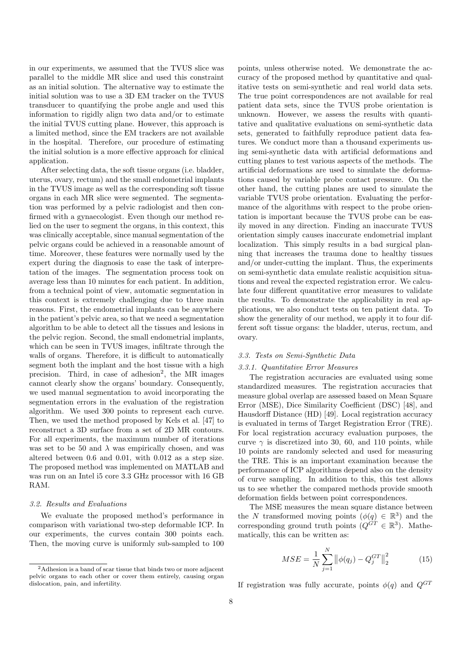in our experiments, we assumed that the TVUS slice was parallel to the middle MR slice and used this constraint as an initial solution. The alternative way to estimate the initial solution was to use a 3D EM tracker on the TVUS transducer to quantifying the probe angle and used this information to rigidly align two data and/or to estimate the initial TVUS cutting plane. However, this approach is a limited method, since the EM trackers are not available in the hospital. Therefore, our procedure of estimating the initial solution is a more effective approach for clinical application.

After selecting data, the soft tissue organs (i.e. bladder, uterus, ovary, rectum) and the small endometrial implants in the TVUS image as well as the corresponding soft tissue organs in each MR slice were segmented. The segmentation was performed by a pelvic radiologist and then confirmed with a gynaecologist. Even though our method relied on the user to segment the organs, in this context, this was clinically acceptable, since manual segmentation of the pelvic organs could be achieved in a reasonable amount of time. Moreover, these features were normally used by the expert during the diagnosis to ease the task of interpretation of the images. The segmentation process took on average less than 10 minutes for each patient. In addition, from a technical point of view, automatic segmentation in this context is extremely challenging due to three main reasons. First, the endometrial implants can be anywhere in the patient's pelvic area, so that we need a segmentation algorithm to be able to detect all the tissues and lesions in the pelvic region. Second, the small endometrial implants, which can be seen in TVUS images, infiltrate through the walls of organs. Therefore, it is difficult to automatically segment both the implant and the host tissue with a high precision. Third, in case of adhesion<sup>2</sup>, the MR images cannot clearly show the organs' boundary. Consequently, we used manual segmentation to avoid incorporating the segmentation errors in the evaluation of the registration algorithm. We used 300 points to represent each curve. Then, we used the method proposed by Kels et al. [47] to reconstruct a 3D surface from a set of 2D MR contours. For all experiments, the maximum number of iterations was set to be 50 and  $\lambda$  was empirically chosen, and was altered between 0.6 and 0.01, with 0.012 as a step size. The proposed method was implemented on MATLAB and was run on an Intel i5 core 3.3 GHz processor with 16 GB RAM.

## 3.2. Results and Evaluations

We evaluate the proposed method's performance in comparison with variational two-step deformable ICP. In our experiments, the curves contain 300 points each. Then, the moving curve is uniformly sub-sampled to 100

points, unless otherwise noted. We demonstrate the accuracy of the proposed method by quantitative and qualitative tests on semi-synthetic and real world data sets. The true point correspondences are not available for real patient data sets, since the TVUS probe orientation is unknown. However, we assess the results with quantitative and qualitative evaluations on semi-synthetic data sets, generated to faithfully reproduce patient data features. We conduct more than a thousand experiments using semi-synthetic data with artificial deformations and cutting planes to test various aspects of the methods. The artificial deformations are used to simulate the deformations caused by variable probe contact pressure. On the other hand, the cutting planes are used to simulate the variable TVUS probe orientation. Evaluating the performance of the algorithms with respect to the probe orientation is important because the TVUS probe can be easily moved in any direction. Finding an inaccurate TVUS orientation simply causes inaccurate endometrial implant localization. This simply results in a bad surgical planning that increases the trauma done to healthy tissues and/or under-cutting the implant. Thus, the experiments on semi-synthetic data emulate realistic acquisition situations and reveal the expected registration error. We calculate four different quantitative error measures to validate the results. To demonstrate the applicability in real applications, we also conduct tests on ten patient data. To show the generality of our method, we apply it to four different soft tissue organs: the bladder, uterus, rectum, and ovary.

# 3.3. Tests on Semi-Synthetic Data

#### 3.3.1. Quantitative Error Measures

The registration accuracies are evaluated using some standardized measures. The registration accuracies that measure global overlap are assessed based on Mean Square Error (MSE), Dice Similarity Coefficient (DSC) [48], and Hausdorff Distance (HD) [49]. Local registration accuracy is evaluated in terms of Target Registration Error (TRE). For local registration accuracy evaluation purposes, the curve  $\gamma$  is discretized into 30, 60, and 110 points, while 10 points are randomly selected and used for measuring the TRE. This is an important examination because the performance of ICP algorithms depend also on the density of curve sampling. In addition to this, this test allows us to see whether the compared methods provide smooth deformation fields between point correspondences.

The MSE measures the mean square distance between the N transformed moving points  $(\phi(q) \in \mathbb{R}^3)$  and the corresponding ground truth points  $(Q^{GT} \in \mathbb{R}^3)$ . Mathematically, this can be written as:

$$
MSE = \frac{1}{N} \sum_{j=1}^{N} \left\| \phi(q_j) - Q_j^{GT} \right\|_2^2 \tag{15}
$$

If registration was fully accurate, points  $\phi(q)$  and  $Q^{GT}$ 

<sup>2</sup>Adhesion is a band of scar tissue that binds two or more adjacent pelvic organs to each other or cover them entirely, causing organ dislocation, pain, and infertility.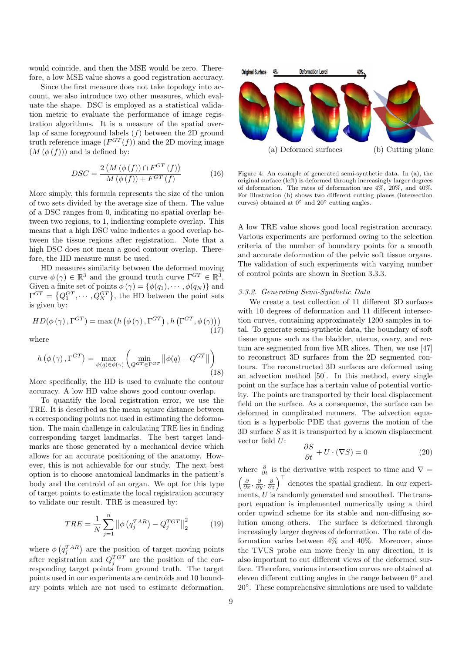would coincide, and then the MSE would be zero. Therefore, a low MSE value shows a good registration accuracy.

Since the first measure does not take topology into account, we also introduce two other measures, which evaluate the shape. DSC is employed as a statistical validation metric to evaluate the performance of image registration algorithms. It is a measure of the spatial overlap of same foreground labels  $(f)$  between the 2D ground truth reference image  $(F^{GT}(f))$  and the 2D moving image  $(M(\phi(f)))$  and is defined by:

$$
DSC = \frac{2\left(M\left(\phi\left(f\right)\right)\cap F^{GT}\left(f\right)\right)}{M\left(\phi\left(f\right)\right) + F^{GT}\left(f\right)}\tag{16}
$$

More simply, this formula represents the size of the union of two sets divided by the average size of them. The value of a DSC ranges from 0, indicating no spatial overlap between two regions, to 1, indicating complete overlap. This means that a high DSC value indicates a good overlap between the tissue regions after registration. Note that a high DSC does not mean a good contour overlap. Therefore, the HD measure must be used.

HD measures similarity between the deformed moving curve  $\phi(\gamma) \in \mathbb{R}^3$  and the ground truth curve  $\Gamma^{GT} \in \mathbb{R}^3$ . Given a finite set of points  $\phi(\gamma) = {\phi(q_1), \cdots, \phi(q_N)}$  and  $\Gamma^{GT} = \left\{Q_1^{GT}, \cdots, Q_N^{GT}\right\}$ , the HD between the point sets is given by:

$$
HD(\phi(\gamma), \Gamma^{GT}) = \max\left(h\left(\phi(\gamma), \Gamma^{GT}\right), h\left(\Gamma^{GT}, \phi(\gamma)\right)\right) \tag{17}
$$

where

$$
h(\phi(\gamma), \Gamma^{GT}) = \max_{\phi(q) \in \phi(\gamma)} \left( \min_{Q^{GT} \in \Gamma^{GT}} \left\| \phi(q) - Q^{GT} \right\| \right)
$$
(18)

More specifically, the HD is used to evaluate the contour accuracy. A low HD value shows good contour overlap.

To quantify the local registration error, we use the TRE. It is described as the mean square distance between n corresponding points not used in estimating the deformation. The main challenge in calculating TRE lies in finding corresponding target landmarks. The best target landmarks are those generated by a mechanical device which allows for an accurate positioning of the anatomy. However, this is not achievable for our study. The next best option is to choose anatomical landmarks in the patient's body and the centroid of an organ. We opt for this type of target points to estimate the local registration accuracy to validate our result. TRE is measured by:

$$
TRE = \frac{1}{N} \sum_{j=1}^{n} \left\| \phi \left( q_j^{TAR} \right) - Q_j^{TGT} \right\|_2^2 \tag{19}
$$

where  $\phi(q_j^{TAR})$  are the position of target moving points after registration and  $Q_j^{TGT}$  are the position of the corresponding target points from ground truth. The target points used in our experiments are centroids and 10 boundary points which are not used to estimate deformation.



Figure 4: An example of generated semi-synthetic data. In (a), the original surface (left) is deformed through increasingly larger degrees of deformation. The rates of deformation are 4%, 20%, and 40%. For illustration (b) shows two different cutting planes (intersection curves) obtained at  $0^{\circ}$  and  $20^{\circ}$  cutting angles.

A low TRE value shows good local registration accuracy. Various experiments are performed owing to the selection criteria of the number of boundary points for a smooth and accurate deformation of the pelvic soft tissue organs. The validation of such experiments with varying number of control points are shown in Section 3.3.3.

# 3.3.2. Generating Semi-Synthetic Data

We create a test collection of 11 different 3D surfaces with 10 degrees of deformation and 11 different intersection curves, containing approximately 1200 samples in total. To generate semi-synthetic data, the boundary of soft tissue organs such as the bladder, uterus, ovary, and rectum are segmented from five MR slices. Then, we use [47] to reconstruct 3D surfaces from the 2D segmented contours. The reconstructed 3D surfaces are deformed using an advection method [50]. In this method, every single point on the surface has a certain value of potential vorticity. The points are transported by their local displacement field on the surface. As a consequence, the surface can be deformed in complicated manners. The advection equation is a hyperbolic PDE that governs the motion of the 3D surface  $S$  as it is transported by a known displacement vector field U:

$$
\frac{\partial S}{\partial t} + U \cdot (\nabla S) = 0 \tag{20}
$$

where  $\frac{\partial}{\partial t}$  is the derivative with respect to time and  $\nabla =$  $\left(\frac{\partial}{\partial x}, \frac{\partial}{\partial y}, \frac{\partial}{\partial z}\right)^{\top}$  denotes the spatial gradient. In our experiments,  $U$  is randomly generated and smoothed. The transport equation is implemented numerically using a third order upwind scheme for its stable and non-diffusing solution among others. The surface is deformed through increasingly larger degrees of deformation. The rate of deformation varies between 4% and 40%. Moreover, since the TVUS probe can move freely in any direction, it is also important to cut different views of the deformed surface. Therefore, various intersection curves are obtained at eleven different cutting angles in the range between 0◦ and 20◦ . These comprehensive simulations are used to validate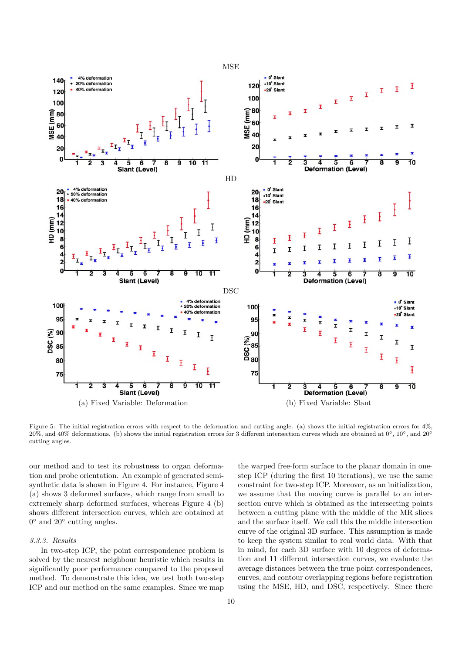

Figure 5: The initial registration errors with respect to the deformation and cutting angle. (a) shows the initial registration errors for 4%, 20%, and 40% deformations. (b) shows the initial registration errors for 3 different intersection curves which are obtained at 0◦, 10◦, and 20◦ cutting angles.

our method and to test its robustness to organ deformation and probe orientation. An example of generated semisynthetic data is shown in Figure 4. For instance, Figure 4 (a) shows 3 deformed surfaces, which range from small to extremely sharp deformed surfaces, whereas Figure 4 (b) shows different intersection curves, which are obtained at  $0^{\circ}$  and  $20^{\circ}$  cutting angles.

## 3.3.3. Results

In two-step ICP, the point correspondence problem is solved by the nearest neighbour heuristic which results in significantly poor performance compared to the proposed method. To demonstrate this idea, we test both two-step ICP and our method on the same examples. Since we map

the warped free-form surface to the planar domain in onestep ICP (during the first 10 iterations), we use the same constraint for two-step ICP. Moreover, as an initialization, we assume that the moving curve is parallel to an intersection curve which is obtained as the intersecting points between a cutting plane with the middle of the MR slices and the surface itself. We call this the middle intersection curve of the original 3D surface. This assumption is made to keep the system similar to real world data. With that in mind, for each 3D surface with 10 degrees of deformation and 11 different intersection curves, we evaluate the average distances between the true point correspondences, curves, and contour overlapping regions before registration using the MSE, HD, and DSC, respectively. Since there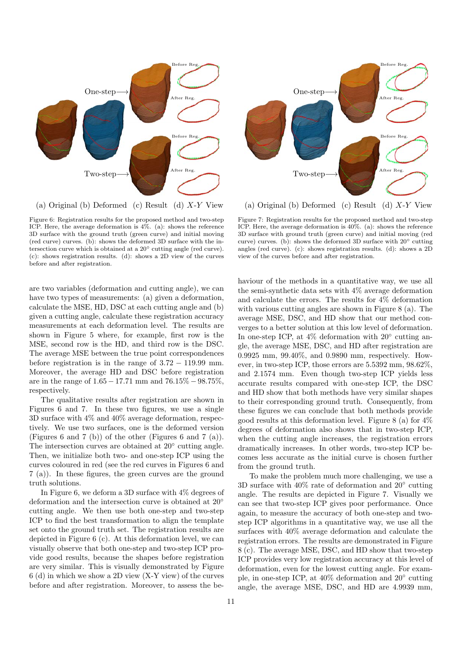

(a) Original (b) Deformed (c) Result (d) X-Y View

Figure 6: Registration results for the proposed method and two-step ICP. Here, the average deformation is 4%. (a): shows the reference 3D surface with the ground truth (green curve) and initial moving (red curve) curves. (b): shows the deformed 3D surface with the intersection curve which is obtained at a 20◦ cutting angle (red curve). (c): shows registration results. (d): shows a 2D view of the curves before and after registration.

are two variables (deformation and cutting angle), we can have two types of measurements: (a) given a deformation, calculate the MSE, HD, DSC at each cutting angle and (b) given a cutting angle, calculate these registration accuracy measurements at each deformation level. The results are shown in Figure 5 where, for example, first row is the MSE, second row is the HD, and third row is the DSC. The average MSE between the true point correspondences before registration is in the range of  $3.72 - 119.99$  mm. Moreover, the average HD and DSC before registration are in the range of  $1.65 - 17.71$  mm and  $76.15\% - 98.75\%$ , respectively.

The qualitative results after registration are shown in Figures 6 and 7. In these two figures, we use a single 3D surface with 4% and 40% average deformation, respectively. We use two surfaces, one is the deformed version (Figures 6 and 7 (b)) of the other (Figures 6 and 7 (a)). The intersection curves are obtained at 20◦ cutting angle. Then, we initialize both two- and one-step ICP using the curves coloured in red (see the red curves in Figures 6 and 7 (a)). In these figures, the green curves are the ground truth solutions.

In Figure 6, we deform a 3D surface with 4% degrees of deformation and the intersection curve is obtained at 20◦ cutting angle. We then use both one-step and two-step ICP to find the best transformation to align the template set onto the ground truth set. The registration results are depicted in Figure 6 (c). At this deformation level, we can visually observe that both one-step and two-step ICP provide good results, because the shapes before registration are very similar. This is visually demonstrated by Figure 6 (d) in which we show a 2D view (X-Y view) of the curves before and after registration. Moreover, to assess the be-



(a) Original (b) Deformed (c) Result (d) X-Y View

Figure 7: Registration results for the proposed method and two-step ICP. Here, the average deformation is  $40\%$  (a): shows the reference 3D surface with ground truth (green curve) and initial moving (red curve) curves. (b): shows the deformed 3D surface with 20◦ cutting angles (red curve). (c): shows registration results. (d): shows a 2D view of the curves before and after registration.

haviour of the methods in a quantitative way, we use all the semi-synthetic data sets with 4% average deformation and calculate the errors. The results for 4% deformation with various cutting angles are shown in Figure 8 (a). The average MSE, DSC, and HD show that our method converges to a better solution at this low level of deformation. In one-step ICP, at 4% deformation with 20◦ cutting angle, the average MSE, DSC, and HD after registration are 0.9925 mm, 99.40%, and 0.9890 mm, respectively. However, in two-step ICP, those errors are 5.5392 mm, 98.62%, and 2.1574 mm. Even though two-step ICP yields less accurate results compared with one-step ICP, the DSC and HD show that both methods have very similar shapes to their corresponding ground truth. Consequently, from these figures we can conclude that both methods provide good results at this deformation level. Figure 8 (a) for 4% degrees of deformation also shows that in two-step ICP, when the cutting angle increases, the registration errors dramatically increases. In other words, two-step ICP becomes less accurate as the initial curve is chosen further from the ground truth.

To make the problem much more challenging, we use a 3D surface with 40% rate of deformation and 20◦ cutting angle. The results are depicted in Figure 7. Visually we can see that two-step ICP gives poor performance. Once again, to measure the accuracy of both one-step and twostep ICP algorithms in a quantitative way, we use all the surfaces with 40% average deformation and calculate the registration errors. The results are demonstrated in Figure 8 (c). The average MSE, DSC, and HD show that two-step ICP provides very low registration accuracy at this level of deformation, even for the lowest cutting angle. For example, in one-step ICP, at 40% deformation and 20◦ cutting angle, the average MSE, DSC, and HD are 4.9939 mm,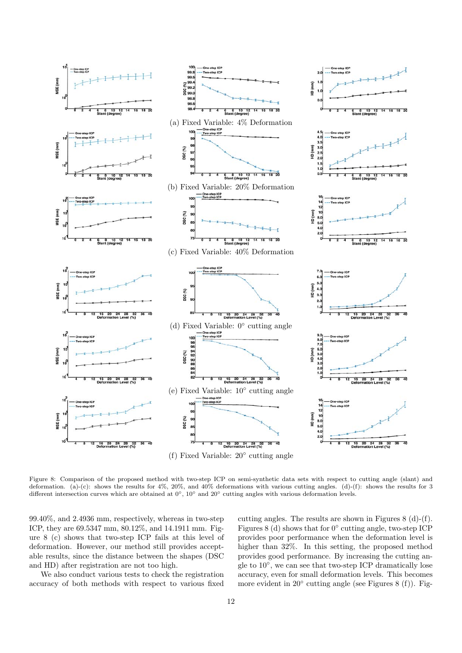

Figure 8: Comparison of the proposed method with two-step ICP on semi-synthetic data sets with respect to cutting angle (slant) and deformation. (a)-(c): shows the results for 4%, 20%, and 40% deformations with various cutting angles. (d)-(f): shows the results for 3 different intersection curves which are obtained at 0◦, 10◦ and 20◦ cutting angles with various deformation levels.

99.40%, and 2.4936 mm, respectively, whereas in two-step ICP, they are 69.5347 mm, 80.12%, and 14.1911 mm. Figure 8 (c) shows that two-step ICP fails at this level of deformation. However, our method still provides acceptable results, since the distance between the shapes (DSC and HD) after registration are not too high.

We also conduct various tests to check the registration accuracy of both methods with respect to various fixed cutting angles. The results are shown in Figures 8 (d)-(f). Figures 8 (d) shows that for 0◦ cutting angle, two-step ICP provides poor performance when the deformation level is higher than 32%. In this setting, the proposed method provides good performance. By increasing the cutting angle to 10◦ , we can see that two-step ICP dramatically lose accuracy, even for small deformation levels. This becomes more evident in  $20^\circ$  cutting angle (see Figures 8 (f)). Fig-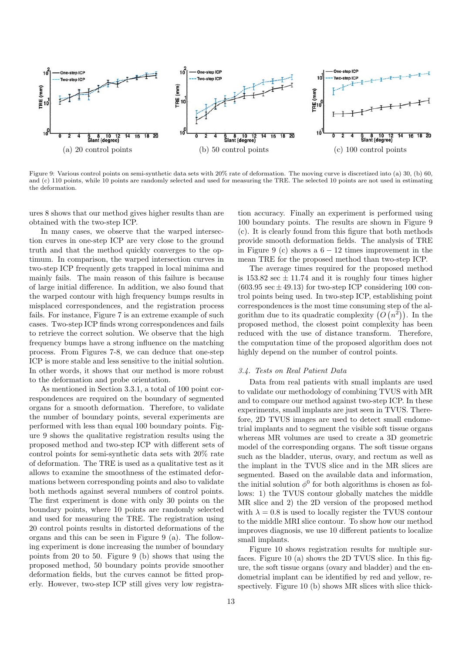

Figure 9: Various control points on semi-synthetic data sets with 20% rate of deformation. The moving curve is discretized into (a) 30, (b) 60, and (c) 110 points, while 10 points are randomly selected and used for measuring the TRE. The selected 10 points are not used in estimating the deformation.

ures 8 shows that our method gives higher results than are obtained with the two-step ICP.

In many cases, we observe that the warped intersection curves in one-step ICP are very close to the ground truth and that the method quickly converges to the optimum. In comparison, the warped intersection curves in two-step ICP frequently gets trapped in local minima and mainly fails. The main reason of this failure is because of large initial difference. In addition, we also found that the warped contour with high frequency bumps results in misplaced correspondences, and the registration process fails. For instance, Figure 7 is an extreme example of such cases. Two-step ICP finds wrong correspondences and fails to retrieve the correct solution. We observe that the high frequency bumps have a strong influence on the matching process. From Figures 7-8, we can deduce that one-step ICP is more stable and less sensitive to the initial solution. In other words, it shows that our method is more robust to the deformation and probe orientation.

As mentioned in Section 3.3.1, a total of 100 point correspondences are required on the boundary of segmented organs for a smooth deformation. Therefore, to validate the number of boundary points, several experiments are performed with less than equal 100 boundary points. Figure 9 shows the qualitative registration results using the proposed method and two-step ICP with different sets of control points for semi-synthetic data sets with 20% rate of deformation. The TRE is used as a qualitative test as it allows to examine the smoothness of the estimated deformations between corresponding points and also to validate both methods against several numbers of control points. The first experiment is done with only 30 points on the boundary points, where 10 points are randomly selected and used for measuring the TRE. The registration using 20 control points results in distorted deformations of the organs and this can be seen in Figure 9 (a). The following experiment is done increasing the number of boundary points from 20 to 50. Figure 9 (b) shows that using the proposed method, 50 boundary points provide smoother deformation fields, but the curves cannot be fitted properly. However, two-step ICP still gives very low registra-

tion accuracy. Finally an experiment is performed using 100 boundary points. The results are shown in Figure 9 (c). It is clearly found from this figure that both methods provide smooth deformation fields. The analysis of TRE in Figure 9 (c) shows a  $6 - 12$  times improvement in the mean TRE for the proposed method than two-step ICP.

The average times required for the proposed method is  $153.82 \text{ sec} \pm 11.74$  and it is roughly four times higher  $(603.95 \text{ sec} \pm 49.13)$  for two-step ICP considering 100 control points being used. In two-step ICP, establishing point correspondences is the most time consuming step of the algorithm due to its quadratic complexity  $(O(n^2))$ . In the proposed method, the closest point complexity has been reduced with the use of distance transform. Therefore, the computation time of the proposed algorithm does not highly depend on the number of control points.

# 3.4. Tests on Real Patient Data

Data from real patients with small implants are used to validate our methodology of combining TVUS with MR and to compare our method against two-step ICP. In these experiments, small implants are just seen in TVUS. Therefore, 2D TVUS images are used to detect small endometrial implants and to segment the visible soft tissue organs whereas MR volumes are used to create a 3D geometric model of the corresponding organs. The soft tissue organs such as the bladder, uterus, ovary, and rectum as well as the implant in the TVUS slice and in the MR slices are segmented. Based on the available data and information, the initial solution  $\phi^0$  for both algorithms is chosen as follows: 1) the TVUS contour globally matches the middle MR slice and 2) the 2D version of the proposed method with  $\lambda = 0.8$  is used to locally register the TVUS contour to the middle MRI slice contour. To show how our method improves diagnosis, we use 10 different patients to localize small implants.

Figure 10 shows registration results for multiple surfaces. Figure 10 (a) shows the 2D TVUS slice. In this figure, the soft tissue organs (ovary and bladder) and the endometrial implant can be identified by red and yellow, respectively. Figure 10 (b) shows MR slices with slice thick-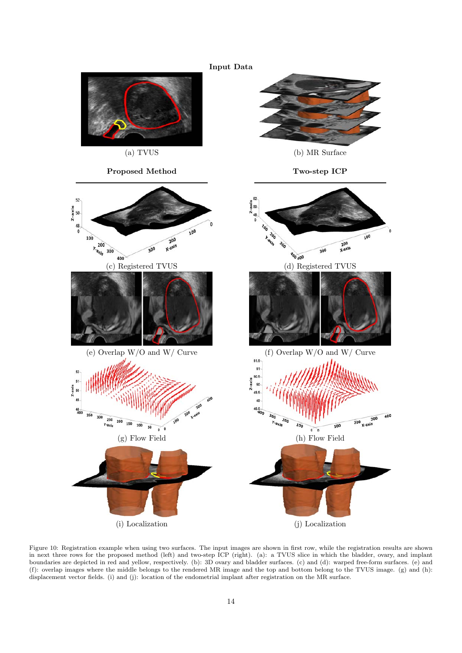

Figure 10: Registration example when using two surfaces. The input images are shown in first row, while the registration results are shown in next three rows for the proposed method (left) and two-step ICP (right). (a): a TVUS slice in which the bladder, ovary, and implant boundaries are depicted in red and yellow, respectively. (b): 3D ovary and bladder surfaces. (c) and (d): warped free-form surfaces. (e) and (f): overlap images where the middle belongs to the rendered MR image and the top and bottom belong to the TVUS image. (g) and (h): displacement vector fields. (i) and (j): location of the endometrial implant after registration on the MR surface.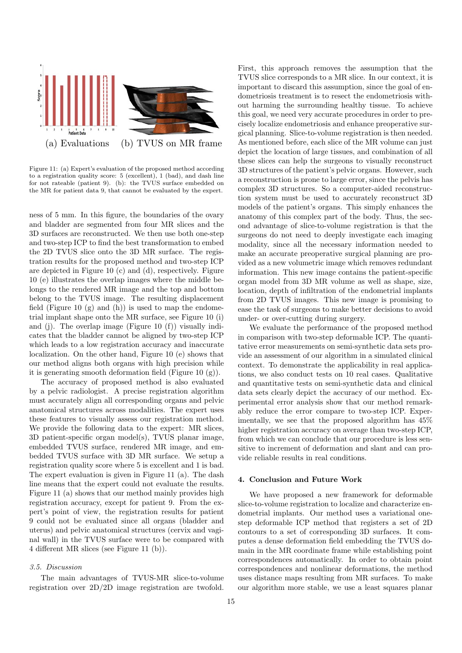

Figure 11: (a) Expert's evaluation of the proposed method according to a registration quality score: 5 (excellent), 1 (bad), and dash line for not rateable (patient 9). (b): the TVUS surface embedded on the MR for patient data 9, that cannot be evaluated by the expert.

ness of 5 mm. In this figure, the boundaries of the ovary and bladder are segmented from four MR slices and the 3D surfaces are reconstructed. We then use both one-step and two-step ICP to find the best transformation to embed the 2D TVUS slice onto the 3D MR surface. The registration results for the proposed method and two-step ICP are depicted in Figure 10 (c) and (d), respectively. Figure 10 (e) illustrates the overlap images where the middle belongs to the rendered MR image and the top and bottom belong to the TVUS image. The resulting displacement field (Figure 10  $(g)$  and  $(h)$ ) is used to map the endometrial implant shape onto the MR surface, see Figure 10 (i) and (j). The overlap image (Figure 10  $(f)$ ) visually indicates that the bladder cannot be aligned by two-step ICP which leads to a low registration accuracy and inaccurate localization. On the other hand, Figure 10 (e) shows that our method aligns both organs with high precision while it is generating smooth deformation field (Figure 10 (g)).

The accuracy of proposed method is also evaluated by a pelvic radiologist. A precise registration algorithm must accurately align all corresponding organs and pelvic anatomical structures across modalities. The expert uses these features to visually assess our registration method. We provide the following data to the expert: MR slices, 3D patient-specific organ model(s), TVUS planar image, embedded TVUS surface, rendered MR image, and embedded TVUS surface with 3D MR surface. We setup a registration quality score where 5 is excellent and 1 is bad. The expert evaluation is given in Figure 11 (a). The dash line means that the expert could not evaluate the results. Figure 11 (a) shows that our method mainly provides high registration accuracy, except for patient 9. From the expert's point of view, the registration results for patient 9 could not be evaluated since all organs (bladder and uterus) and pelvic anatomical structures (cervix and vaginal wall) in the TVUS surface were to be compared with 4 different MR slices (see Figure 11 (b)).

## 3.5. Discussion

The main advantages of TVUS-MR slice-to-volume registration over 2D/2D image registration are twofold.

First, this approach removes the assumption that the TVUS slice corresponds to a MR slice. In our context, it is important to discard this assumption, since the goal of endometriosis treatment is to resect the endometriosis without harming the surrounding healthy tissue. To achieve this goal, we need very accurate procedures in order to precisely localize endometriosis and enhance preoperative surgical planning. Slice-to-volume registration is then needed. As mentioned before, each slice of the MR volume can just depict the location of large tissues, and combination of all these slices can help the surgeons to visually reconstruct 3D structures of the patient's pelvic organs. However, such a reconstruction is prone to large error, since the pelvis has complex 3D structures. So a computer-aided reconstruction system must be used to accurately reconstruct 3D models of the patient's organs. This simply enhances the anatomy of this complex part of the body. Thus, the second advantage of slice-to-volume registration is that the surgeons do not need to deeply investigate each imaging modality, since all the necessary information needed to make an accurate preoperative surgical planning are provided as a new volumetric image which removes redundant information. This new image contains the patient-specific organ model from 3D MR volume as well as shape, size, location, depth of infiltration of the endometrial implants from 2D TVUS images. This new image is promising to ease the task of surgeons to make better decisions to avoid under- or over-cutting during surgery.

We evaluate the performance of the proposed method in comparison with two-step deformable ICP. The quantitative error measurements on semi-synthetic data sets provide an assessment of our algorithm in a simulated clinical context. To demonstrate the applicability in real applications, we also conduct tests on 10 real cases. Qualitative and quantitative tests on semi-synthetic data and clinical data sets clearly depict the accuracy of our method. Experimental error analysis show that our method remarkably reduce the error compare to two-step ICP. Experimentally, we see that the proposed algorithm has 45% higher registration accuracy on average than two-step ICP, from which we can conclude that our procedure is less sensitive to increment of deformation and slant and can provide reliable results in real conditions.

## 4. Conclusion and Future Work

We have proposed a new framework for deformable slice-to-volume registration to localize and characterize endometrial implants. Our method uses a variational onestep deformable ICP method that registers a set of 2D contours to a set of corresponding 3D surfaces. It computes a dense deformation field embedding the TVUS domain in the MR coordinate frame while establishing point correspondences automatically. In order to obtain point correspondences and nonlinear deformations, the method uses distance maps resulting from MR surfaces. To make our algorithm more stable, we use a least squares planar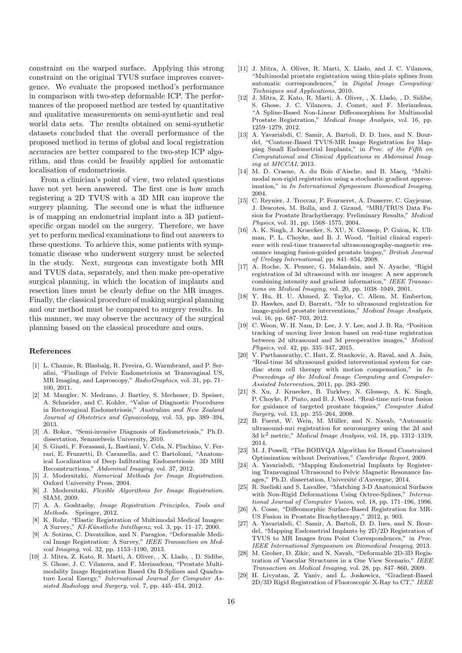constraint on the warped surface. Applying this strong constraint on the original TVUS surface improves convergence. We evaluate the proposed method's performance in comparison with two-step deformable ICP. The performances of the proposed method are tested by quantitative and qualitative measurements on semi-synthetic and real world data sets. The results obtained on semi-synthetic datasets concluded that the overall performance of the proposed method in terms of global and local registration accuracies are better compared to the two-step ICP algorithm, and thus could be feasibly applied for automatic localisation of endometriosis.

From a clinician's point of view, two related questions have not yet been answered. The first one is how much registering a 2D TVUS with a 3D MR can improve the surgery planning. The second one is what the influence is of mapping an endometrial implant into a 3D patientspecific organ model on the surgery. Therefore, we have yet to perform medical examinations to find out answers to these questions. To achieve this, some patients with symptomatic disease who underwent surgery must be selected in the study. Next, surgeons can investigate both MR and TVUS data, separately, and then make pre-operative surgical planning, in which the location of implants and resection lines must be clearly define on the MR images. Finally, the classical procedure of making surgical planning and our method must be compared to surgery results. In this manner, we may observe the accuracy of the surgical planning based on the classical procedure and ours.

## References

- [1] L. Chamie, R. Blasbalg, R. Pereira, G. Warmbrand, and P. Serafini, "Findings of Pelvic Endometriosis at Transvaginal US, MR Imaging, and Laproscopy," RadioGraphics, vol. 31, pp. 71– 100, 2011.
- [2] M. Mangler, N. Medrano, J. Bartley, S. Mechsner, D. Speiser, A. Schneider, and C. Kohler, "Value of Diagnostic Procedures in Rectovaginal Endometriosis," Australian and New Zealand Journal of Obstetrics and Gynaecology, vol. 53, pp. 389–394, 2013.
- [3] A. Bokor, "Semi-invasive Diagnosis of Endometriosis," Ph.D. dissertation, Semmelweis University, 2010.
- [4] S. Giusti, F. Forasassi, L. Bastiani, V. Cela, N. Pluchino, V. Ferrari, E. Fruzzetti, D. Caramella, and C. Bartolozzi, "Anatomical Localization of Deep Infiltrating Endometriosis: 3D MRI Reconstructions," Abdominal Imaging, vol. 37, 2012.
- [5] J. Modersitzki, Numerical Methods for Image Registration. Oxford University Press, 2004.
- [6] J. Modersitzki, Flexible Algorithms for Image Registration. SIAM, 2009.
- [7] A. A. Goshtasby, Image Registration Principles, Tools and Methods. Springer, 2012.
- [8] K. Rohr, "Elastic Registration of Multimodal Medical Images: A Survey," KI-K¨unstliche Intelligenz, vol. 3, pp. 11–17, 2000.
- [9] A. Sotiras, C. Davatzikos, and N. Paragios, "Deformable Medical Image Registration: A Survey," IEEE Transaction on Medical Imaging, vol. 32, pp. 1153–1190, 2013.
- [10] J. Mitra, Z. Kato, R. Marti, A. Oliver, , X. Llado, , D. Sidibe, S. Ghose, J. C. Vilanova, and F. Meriaudeau, "Prostate Multimodality Image Registration Based On B-Splines and Quadrature Local Energy," International Journal for Computer Assisted Radiology and Surgery, vol. 7, pp. 445–454, 2012.
- [11] J. Mitra, A. Oliver, R. Marti, X. Llado, and J. C. Vilanova, "Multimodal prostate registration using thin-plate splines from automatic correspondences," in Digital Image Computing: Techniques and Applications, 2010.
- [12] J. Mitra, Z. Kato, R. Marti, A. Oliver, , X. Llado, , D. Sidibe, S. Ghose, J. C. Vilanova, J. Comet, and F. Meriaudeau, "A Spline-Based Non-Linear Diffeomorphism for Multimodal Prostate Registration," Medical Image Analysis, vol. 16, pp. 1259–1279, 2012.
- [13] A. Yavariabdi, C. Samir, A. Bartoli, D. D. Ines, and N. Bourdel, "Contour-Based TVUS-MR Image Registration for Mapping Small Endometrial Implants," in Proc. of the Fifth on Computational and Clinical Applications in Abdominal Imaging at MICCAI, 2013.
- [14] M. D. Craene, A. du Bois d'Aische, and B. Macq, "Multimodal non-rigid registration using a stochastic gradient approximation," in In International Symposium Biomedical Imaging, 2004.
- [15] C. Reynier, J. Troccaz, P. Fourneret, A. Dusserre, C. Gayjeune, J. Descotes, M. Bolla, and J. Giraud, "MRI/TRUS Data Fusion for Prostate Brachytherapy. Preliminary Results," Medical Physics, vol. 31, pp. 1568–1575, 2004.
- [16] A. K. Singh, J. Kruecker, S. XU, N. Glossop, P. Guion, K. Ullman, P. L. Choyke, and B. J. Wood, "Initial clinical experience with real-time transrectal ultrasounography-magnetic resonance imaging fusion-guided prostate biopsy," British Journal of Urology International, pp. 841–854, 2008.
- [17] A. Roche, X. Pennec, G. Malandain, and N. Ayache, "Rigid registration of 3d ultrasound with mr images: A new approach combining intensity and gradient information," IEEE Transactions on Medical Imaging, vol. 20, pp. 1038–1049, 2001.
- [18] Y. Hu, H. U. Ahmed, Z. Taylor, C. Allem, M. Emberton, D. Hawkes, and D. Barratt, "Mr to ultrasound registration for image-guided prostate interventions," Medical Image Analysis, vol. 16, pp. 687–703, 2012.
- [19] C. Weon, W. H. Nam, D. Lee, J. Y. Lee, and J. B. Ra, "Position tracking of moving liver lesion based on real-time registration between 2d ultrasound and 3d preoperative images," Medical Physics, vol. 42, pp. 335–347, 2015.
- [20] V. Parthasarathy, C. Hatt, Z. Stankovic, A. Raval, and A. Jain, "Real-time 3d ultrasound guided interventional system for cardiac stem cell therapy with motion compensation," in In Proceedings of the Medical Image Computing and Computer-Assisted Intervention, 2011, pp. 283–290.
- [21] S. Xu, J. Kruecker, B. Turkbey, N. Glossop, A. K. Singh, P. Choyke, P. Pinto, and B. J. Wood, "Real-time mri-trus fusion for guidance of targeted prostate biopsies," Computer Aided Surgery, vol. 13, pp. 255–264, 2008.
- [22] B. Fuerst, W. Wein, M. Müller, and N. Navab, "Automatic ultrasound-mri registration for neurosurgery using the 2d and 3d lc<sup>2</sup> metric," Medical Image Analysis, vol. 18, pp. 1312–1319, 2014.
- [23] M. J. Powell, "The BOBYQA Algorithm for Bound Constrained Optimization without Derivatives," Cambridge Report, 2009.
- [24] A. Yavariabdi, "Mapping Endometrial Implants by Registering Transvaginal Ultrasound to Pelvic Magnetic Resonance Images," Ph.D. dissertation, Université d'Auvergne, 2014.
- [25] R. Szeliski and S. Lavallee, "Matching 3-D Anatomical Surfaces with Non-Rigid Deformations Using Octree-Splines," International Journal of Computer Vision, vol. 18, pp. 171–196, 1996.
- [26] A. Cosse, "Diffeomorphic Surface-Based Registration for MR-US Fusion in Prostate Brachytherapy," 2012, p. 903.
- [27] A. Yavariabdi, C. Samir, A. Bartoli, D. D. Ines, and N. Bourdel, "Mapping Endometrial Implants by 2D/2D Registration of TVUS to MR Images from Point Correspondences," in Proc. IEEE International Symposium on Biomedical Imaging, 2013.
- [28] M. Groher, D. Zikic, and N. Navab, "Deformable 2D-3D Registration of Vascular Structures in a One View Scenario," IEEE Transaction on Medical Imaging, vol. 28, pp. 847–860, 2009.
- [29] H. Livyatan, Z. Yaniv, and L. Joskowicz, "Gradient-Based 2D/3D Rigid Registration of Fluoroscopic X-Ray to CT," IEEE